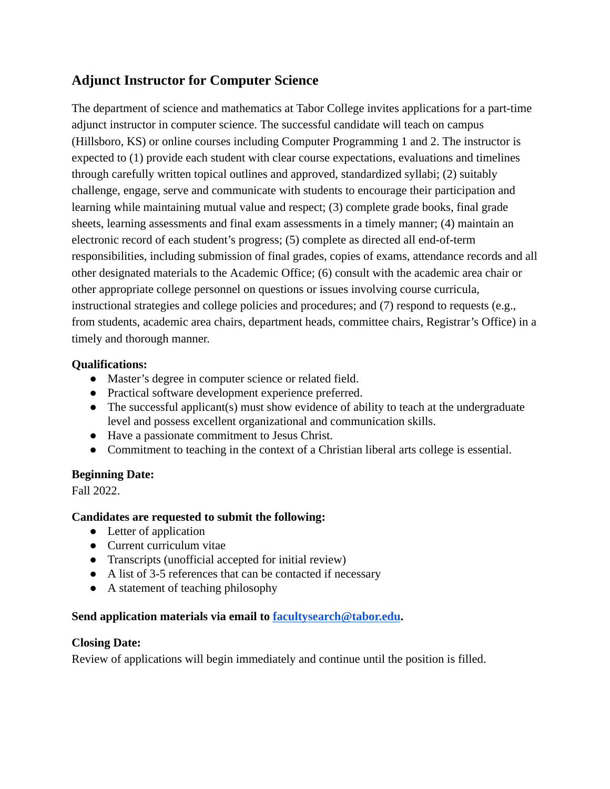# **Adjunct Instructor for Computer Science**

The department of science and mathematics at Tabor College invites applications for a part-time adjunct instructor in computer science. The successful candidate will teach on campus (Hillsboro, KS) or online courses including Computer Programming 1 and 2. The instructor is expected to (1) provide each student with clear course expectations, evaluations and timelines through carefully written topical outlines and approved, standardized syllabi; (2) suitably challenge, engage, serve and communicate with students to encourage their participation and learning while maintaining mutual value and respect; (3) complete grade books, final grade sheets, learning assessments and final exam assessments in a timely manner; (4) maintain an electronic record of each student's progress; (5) complete as directed all end-of-term responsibilities, including submission of final grades, copies of exams, attendance records and all other designated materials to the Academic Office; (6) consult with the academic area chair or other appropriate college personnel on questions or issues involving course curricula, instructional strategies and college policies and procedures; and (7) respond to requests (e.g., from students, academic area chairs, department heads, committee chairs, Registrar's Office) in a timely and thorough manner.

### **Qualifications:**

- Master's degree in computer science or related field.
- Practical software development experience preferred.
- The successful applicant(s) must show evidence of ability to teach at the undergraduate level and possess excellent organizational and communication skills.
- Have a passionate commitment to Jesus Christ.
- Commitment to teaching in the context of a Christian liberal arts college is essential.

# **Beginning Date:**

Fall 2022.

# **Candidates are requested to submit the following:**

- Letter of application
- Current curriculum vitae
- Transcripts (unofficial accepted for initial review)
- A list of 3-5 references that can be contacted if necessary
- A statement of teaching philosophy

# **Send application materials via email to [facultysearch@tabor.edu](mailto:facultysearch@tabor.edu).**

### **Closing Date:**

Review of applications will begin immediately and continue until the position is filled.